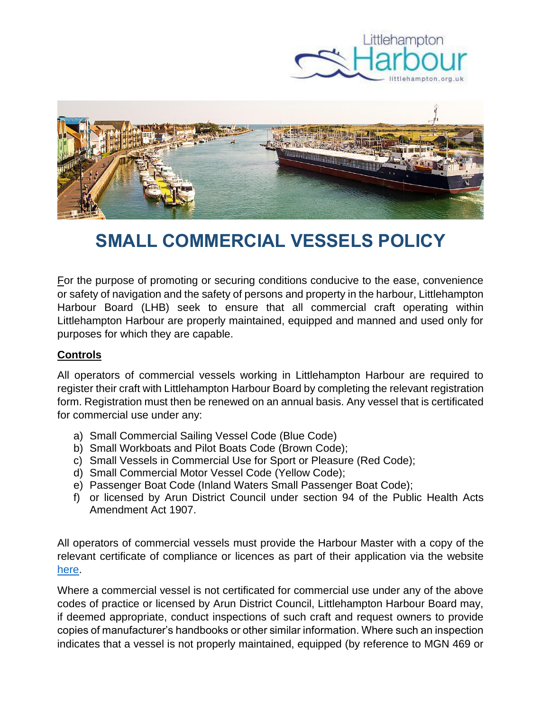



## **SMALL COMMERCIAL VESSELS POLICY**

For the purpose of promoting or securing conditions conducive to the ease, convenience or safety of navigation and the safety of persons and property in the harbour, Littlehampton Harbour Board (LHB) seek to ensure that all commercial craft operating within Littlehampton Harbour are properly maintained, equipped and manned and used only for purposes for which they are capable.

## **Controls**

All operators of commercial vessels working in Littlehampton Harbour are required to register their craft with Littlehampton Harbour Board by completing the relevant registration form. Registration must then be renewed on an annual basis. Any vessel that is certificated for commercial use under any:

- a) Small Commercial Sailing Vessel Code (Blue Code)
- b) Small Workboats and Pilot Boats Code (Brown Code);
- c) Small Vessels in Commercial Use for Sport or Pleasure (Red Code);
- d) Small Commercial Motor Vessel Code (Yellow Code);
- e) Passenger Boat Code (Inland Waters Small Passenger Boat Code);
- f) or licensed by Arun District Council under section 94 of the Public Health Acts Amendment Act 1907.

All operators of commercial vessels must provide the Harbour Master with a copy of the relevant certificate of compliance or licences as part of their application via the website [here.](https://www.littlehampton.org.uk/commercial-vessels-registration/)

Where a commercial vessel is not certificated for commercial use under any of the above codes of practice or licensed by Arun District Council, Littlehampton Harbour Board may, if deemed appropriate, conduct inspections of such craft and request owners to provide copies of manufacturer's handbooks or other similar information. Where such an inspection indicates that a vessel is not properly maintained, equipped (by reference to MGN 469 or